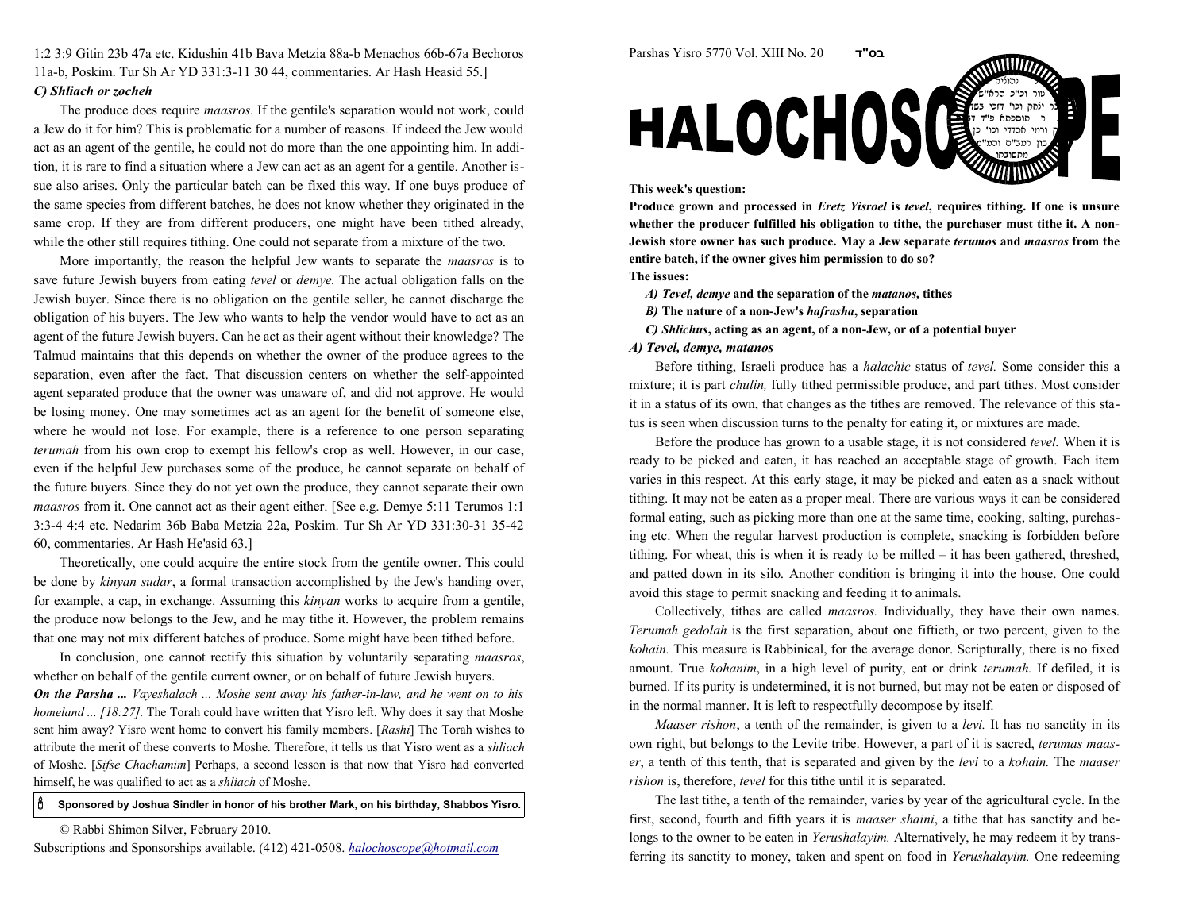1:2 3:9 Gitin 23b 47a etc. Kidushin 41b Bava Metzia 88a-b Menachos 66b-67a Bechoros11a-b, Poskim. Tur Sh Ar YD 331:3-11 30 44, commentaries. Ar Hash Heasid 55.]C) Shliach or zocheh

The produce does require *maasros*. If the gentile's separation would not work, could a Jew do it for him? This is problematic for a number of reasons. If indeed the Jew would act as an agent of the gentile, he could not do more than the one appointing him. In addition, it is rare to find a situation where a Jew can act as an agent for a gentile. Another issue also arises. Only the particular batch can be fixed this way. If one buys produce ofthe same species from different batches, he does not know whether they originated in thesame crop. If they are from different producers, one might have been tithed already,while the other still requires tithing. One could not separate from a mixture of the two.

More importantly, the reason the helpful Jew wants to separate the *maasros* is to save future Jewish buyers from eating *tevel* or *demye*. The actual obligation falls on the Jewish buyer. Since there is no obligation on the gentile seller, he cannot discharge the obligation of his buyers. The Jew who wants to help the vendor would have to act as an agent of the future Jewish buyers. Can he act as their agent without their knowledge? The Talmud maintains that this depends on whether the owner of the produce agrees to the separation, even after the fact. That discussion centers on whether the self-appointed agent separated produce that the owner was unaware of, and did not approve. He would be losing money. One may sometimes act as an agent for the benefit of someone else,where he would not lose. For example, there is a reference to one person separatingterumah from his own crop to exempt his fellow's crop as well. However, in our case, even if the helpful Jew purchases some of the produce, he cannot separate on behalf ofthe future buyers. Since they do not yet own the produce, they cannot separate their ownmaasros from it. One cannot act as their agent either. [See e.g. Demye 5:11 Terumos 1:1 3:3-4 4:4 etc. Nedarim 36b Baba Metzia 22a, Poskim. Tur Sh Ar YD 331:30-31 35-4260, commentaries. Ar Hash He'asid 63.]

Theoretically, one could acquire the entire stock from the gentile owner. This could be done by kinyan sudar, a formal transaction accomplished by the Jew's handing over, for example, a cap, in exchange. Assuming this kinyan works to acquire from a gentile,the produce now belongs to the Jew, and he may tithe it. However, the problem remainsthat one may not mix different batches of produce. Some might have been tithed before.

In conclusion, one cannot rectify this situation by voluntarily separating *maasros*, whether on behalf of the gentile current owner, or on behalf of future Jewish buyers.On the Parsha ... Vayeshalach ... Moshe sent away his father-in-law, and he went on to hishomeland ... [18:27]. The Torah could have written that Yisro left. Why does it say that Moshe sent him away? Yisro went home to convert his family members. [Rashi] The Torah wishes to attribute the merit of these converts to Moshe. Therefore, it tells us that Yisro went as a *shliach* of Moshe. [Sifse Chachamim] Perhaps, a second lesson is that now that Yisro had converted himself, he was qualified to act as a shliach of Moshe.

## ô Sponsored by Joshua Sindler in honor of his brother Mark, on his birthday, Shabbos Yisro.

© Rabbi Shimon Silver, February 2010.





## This week's question:

Produce grown and processed in *Eretz Yisroel* is *tevel*, requires tithing. If one is unsure whether the producer fulfilled his obligation to tithe, the purchaser must tithe it. A non-Jewish store owner has such produce. May a Jew separate terumos and maasros from theentire batch, if the owner gives him permission to do so?

The issues:

- A) Tevel, demye and the separation of the matanos, tithes
- *B)* The nature of a non-Jew's *hafrasha*, separation
- C) Shlichus, acting as an agent, of a non-Jew, or of a potential buyer

## A) Tevel, demye, matanos

Before tithing, Israeli produce has a halachic status of tevel. Some consider this amixture; it is part *chulin*, fully tithed permissible produce, and part tithes. Most consider it in a status of its own, that changes as the tithes are removed. The relevance of this status is seen when discussion turns to the penalty for eating it, or mixtures are made.

Before the produce has grown to a usable stage, it is not considered tevel. When it isready to be picked and eaten, it has reached an acceptable stage of growth. Each item varies in this respect. At this early stage, it may be picked and eaten as a snack withouttithing. It may not be eaten as a proper meal. There are various ways it can be considered formal eating, such as picking more than one at the same time, cooking, salting, purchasing etc. When the regular harvest production is complete, snacking is forbidden before tithing. For wheat, this is when it is ready to be milled – it has been gathered, threshed,and patted down in its silo. Another condition is bringing it into the house. One couldavoid this stage to permit snacking and feeding it to animals.

Collectively, tithes are called maasros. Individually, they have their own names. Terumah gedolah is the first separation, about one fiftieth, or two percent, given to the kohain. This measure is Rabbinical, for the average donor. Scripturally, there is no fixedamount. True kohanim, in a high level of purity, eat or drink terumah. If defiled, it is burned. If its purity is undetermined, it is not burned, but may not be eaten or disposed ofin the normal manner. It is left to respectfully decompose by itself.

Maaser rishon, a tenth of the remainder, is given to a levi. It has no sanctity in its own right, but belongs to the Levite tribe. However, a part of it is sacred, *terumas maas*er, a tenth of this tenth, that is separated and given by the levi to a kohain. The maaser rishon is, therefore, tevel for this tithe until it is separated.

The last tithe, a tenth of the remainder, varies by year of the agricultural cycle. In thefirst, second, fourth and fifth years it is *maaser shaini*, a tithe that has sanctity and belongs to the owner to be eaten in *Yerushalayim*. Alternatively, he may redeem it by transferring its sanctity to money, taken and spent on food in Yerushalayim. One redeeming